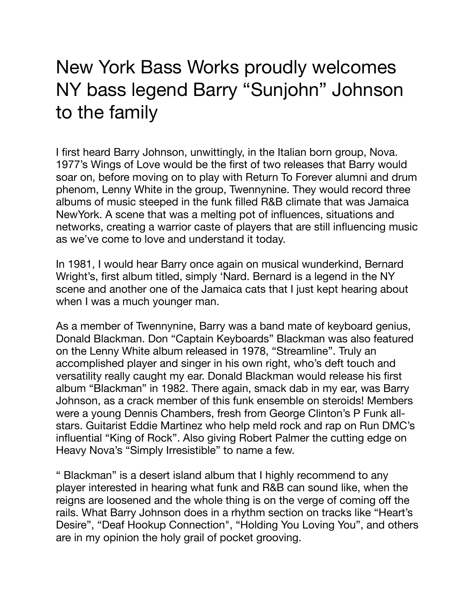## New York Bass Works proudly welcomes NY bass legend Barry "Sunjohn" Johnson to the family

I first heard Barry Johnson, unwittingly, in the Italian born group, Nova. 1977's Wings of Love would be the first of two releases that Barry would soar on, before moving on to play with Return To Forever alumni and drum phenom, Lenny White in the group, Twennynine. They would record three albums of music steeped in the funk filled R&B climate that was Jamaica NewYork. A scene that was a melting pot of influences, situations and networks, creating a warrior caste of players that are still influencing music as we've come to love and understand it today.

In 1981, I would hear Barry once again on musical wunderkind, Bernard Wright's, first album titled, simply 'Nard. Bernard is a legend in the NY scene and another one of the Jamaica cats that I just kept hearing about when I was a much younger man.

As a member of Twennynine, Barry was a band mate of keyboard genius, Donald Blackman. Don "Captain Keyboards" Blackman was also featured on the Lenny White album released in 1978, "Streamline". Truly an accomplished player and singer in his own right, who's deft touch and versatility really caught my ear. Donald Blackman would release his first album "Blackman" in 1982. There again, smack dab in my ear, was Barry Johnson, as a crack member of this funk ensemble on steroids! Members were a young Dennis Chambers, fresh from George Clinton's P Funk allstars. Guitarist Eddie Martinez who help meld rock and rap on Run DMC's influential "King of Rock". Also giving Robert Palmer the cutting edge on Heavy Nova's "Simply Irresistible" to name a few.

" Blackman" is a desert island album that I highly recommend to any player interested in hearing what funk and R&B can sound like, when the reigns are loosened and the whole thing is on the verge of coming off the rails. What Barry Johnson does in a rhythm section on tracks like "Heart's Desire", "Deaf Hookup Connection", "Holding You Loving You", and others are in my opinion the holy grail of pocket grooving.